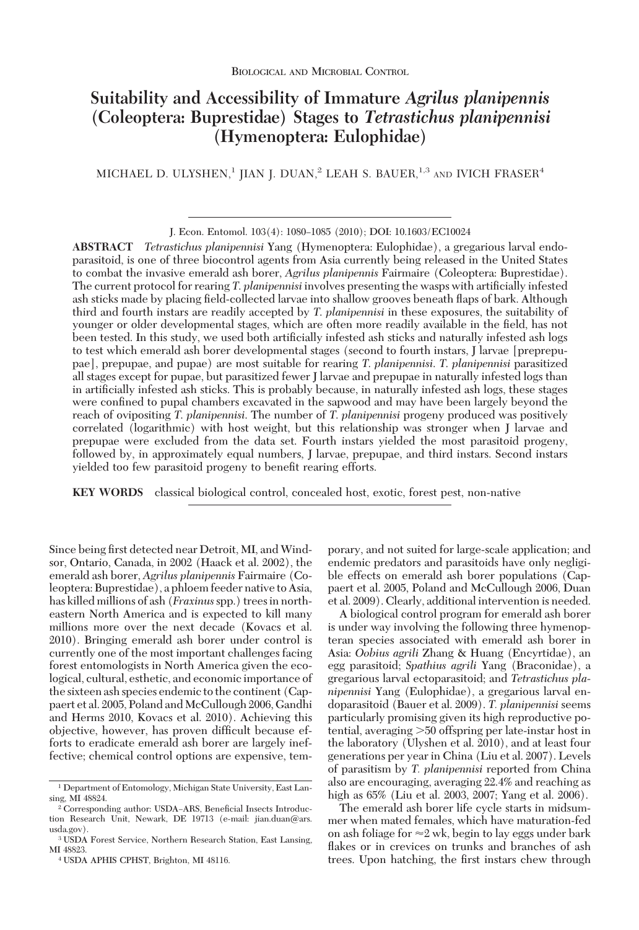# **Suitability and Accessibility of Immature** *Agrilus planipennis* **(Coleoptera: Buprestidae) Stages to** *Tetrastichus planipennisi* **(Hymenoptera: Eulophidae)**

MICHAEL D. ULYSHEN,<sup>1</sup> JIAN J. DUAN,<sup>2</sup> LEAH S. BAUER,<sup>1,3</sup> AND IVICH FRASER<sup>4</sup>

**ABSTRACT** *Tetrastichus planipennisi* Yang (Hymenoptera: Eulophidae), a gregarious larval endoparasitoid, is one of three biocontrol agents from Asia currently being released in the United States to combat the invasive emerald ash borer, *Agrilus planipennis* Fairmaire (Coleoptera: Buprestidae). The current protocol for rearing *T. planipennisi* involves presenting the wasps with artificially infested ash sticks made by placing field-collected larvae into shallow grooves beneath flaps of bark. Although third and fourth instars are readily accepted by *T*. *planipennisi* in these exposures, the suitability of younger or older developmental stages, which are often more readily available in the field, has not been tested. In this study, we used both artificially infested ash sticks and naturally infested ash logs to test which emerald ash borer developmental stages (second to fourth instars, J larvae [preprepupae], prepupae, and pupae) are most suitable for rearing *T*. *planipennisi*. *T*. *planipennisi* parasitized all stages except for pupae, but parasitized fewer J larvae and prepupae in naturally infested logs than in artificially infested ash sticks. This is probably because, in naturally infested ash logs, these stages were confined to pupal chambers excavated in the sapwood and may have been largely beyond the reach of ovipositing *T*. *planipennisi*. The number of *T*. *planipennisi* progeny produced was positively correlated (logarithmic) with host weight, but this relationship was stronger when J larvae and prepupae were excluded from the data set. Fourth instars yielded the most parasitoid progeny, followed by, in approximately equal numbers, J larvae, prepupae, and third instars. Second instars yielded too few parasitoid progeny to benefit rearing efforts.

**KEY WORDS** classical biological control, concealed host, exotic, forest pest, non-native

Since being first detected near Detroit, MI, and Windsor, Ontario, Canada, in 2002 (Haack et al. 2002), the emerald ash borer, *Agrilus planipennis* Fairmaire (Coleoptera: Buprestidae), a phloem feeder native to Asia, has killed millions of ash (*Fraxinus*spp.) trees in northeastern North America and is expected to kill many millions more over the next decade (Kovacs et al. 2010). Bringing emerald ash borer under control is currently one of the most important challenges facing forest entomologists in North America given the ecological, cultural, esthetic, and economic importance of the sixteen ash species endemic to the continent (Cappaert et al. 2005, Poland and McCullough 2006, Gandhi and Herms 2010, Kovacs et al. 2010). Achieving this objective, however, has proven difficult because efforts to eradicate emerald ash borer are largely ineffective; chemical control options are expensive, temporary, and not suited for large-scale application; and endemic predators and parasitoids have only negligible effects on emerald ash borer populations (Cappaert et al. 2005, Poland and McCullough 2006, Duan et al. 2009). Clearly, additional intervention is needed.

A biological control program for emerald ash borer is under way involving the following three hymenopteran species associated with emerald ash borer in Asia: *Oobius agrili* Zhang & Huang (Encyrtidae), an egg parasitoid; *Spathius agrili* Yang (Braconidae), a gregarious larval ectoparasitoid; and *Tetrastichus planipennisi* Yang (Eulophidae), a gregarious larval endoparasitoid (Bauer et al. 2009). *T. planipennisi* seems particularly promising given its high reproductive potential, averaging 50 offspring per late-instar host in the laboratory (Ulyshen et al. 2010), and at least four generations per year in China (Liu et al. 2007). Levels of parasitism by *T. planipennisi* reported from China also are encouraging, averaging 22.4% and reaching as high as 65% (Liu et al. 2003, 2007; Yang et al. 2006).

The emerald ash borer life cycle starts in midsummer when mated females, which have maturation-fed on ash foliage for  $\approx$ 2 wk, begin to lay eggs under bark flakes or in crevices on trunks and branches of ash trees. Upon hatching, the first instars chew through

J. Econ. Entomol. 103(4): 1080-1085 (2010); DOI: 10.1603/EC10024

<sup>1</sup> Department of Entomology, Michigan State University, East Lansing, MI 48824.

<sup>&</sup>lt;sup>2</sup> Corresponding author: USDA-ARS, Beneficial Insects Introduction Research Unit, Newark, DE 19713 (e-mail: jian.duan@ars. usda.gov).

<sup>3</sup> USDA Forest Service, Northern Research Station, East Lansing, MI 48823.

<sup>4</sup> USDA APHIS CPHST, Brighton, MI 48116.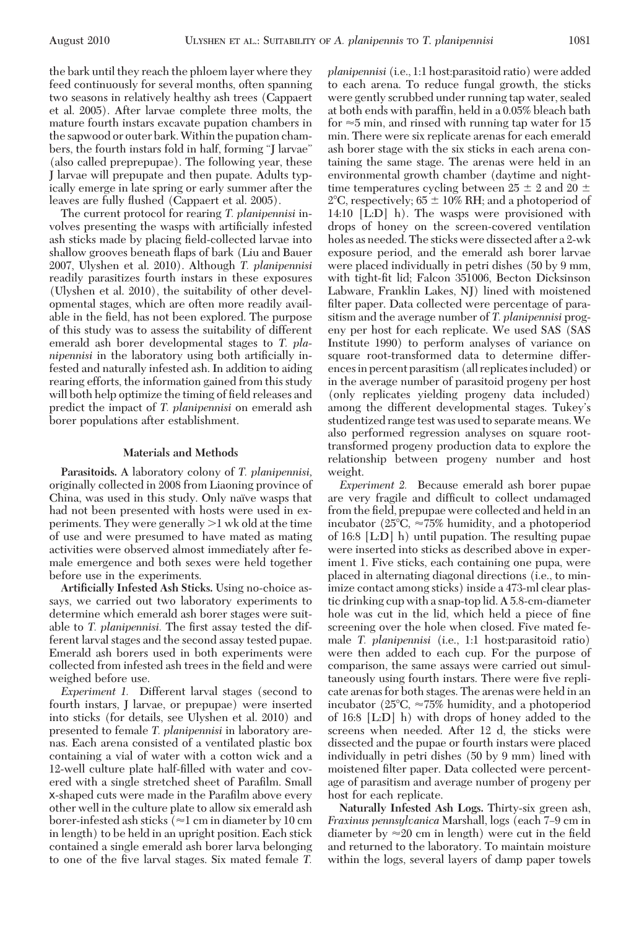the bark until they reach the phloem layer where they feed continuously for several months, often spanning two seasons in relatively healthy ash trees (Cappaert et al. 2005). After larvae complete three molts, the mature fourth instars excavate pupation chambers in the sapwood or outer bark.Within the pupation chambers, the fourth instars fold in half, forming "J larvae" (also called preprepupae). The following year, these J larvae will prepupate and then pupate. Adults typically emerge in late spring or early summer after the leaves are fully ßushed (Cappaert et al. 2005).

The current protocol for rearing *T. planipennisi* involves presenting the wasps with artificially infested ash sticks made by placing field-collected larvae into shallow grooves beneath ßaps of bark (Liu and Bauer 2007, Ulyshen et al. 2010). Although *T. planipennisi* readily parasitizes fourth instars in these exposures (Ulyshen et al. 2010), the suitability of other developmental stages, which are often more readily available in the field, has not been explored. The purpose of this study was to assess the suitability of different emerald ash borer developmental stages to *T. planipennisi* in the laboratory using both artificially infested and naturally infested ash. In addition to aiding rearing efforts, the information gained from this study will both help optimize the timing of field releases and predict the impact of *T. planipennisi* on emerald ash borer populations after establishment.

### **Materials and Methods**

**Parasitoids.** A laboratory colony of *T. planipennisi,* originally collected in 2008 from Liaoning province of China, was used in this study. Only naïve wasps that had not been presented with hosts were used in experiments. They were generally  $>1$  wk old at the time of use and were presumed to have mated as mating activities were observed almost immediately after female emergence and both sexes were held together before use in the experiments.

**Artificially Infested Ash Sticks.** Using no-choice assays, we carried out two laboratory experiments to determine which emerald ash borer stages were suitable to *T. planipennisi*. The first assay tested the different larval stages and the second assay tested pupae. Emerald ash borers used in both experiments were collected from infested ash trees in the field and were weighed before use.

*Experiment 1.* Different larval stages (second to fourth instars, J larvae, or prepupae) were inserted into sticks (for details, see Ulyshen et al. 2010) and presented to female *T. planipennisi* in laboratory arenas. Each arena consisted of a ventilated plastic box containing a vial of water with a cotton wick and a 12-well culture plate half-filled with water and covered with a single stretched sheet of Parafilm. Small x-shaped cuts were made in the Parafilm above every other well in the culture plate to allow six emerald ash borer-infested ash sticks ( $\approx$ 1 cm in diameter by 10 cm in length) to be held in an upright position. Each stick contained a single emerald ash borer larva belonging to one of the five larval stages. Six mated female *T*.

*planipennisi* (i.e., 1:1 host:parasitoid ratio) were added to each arena. To reduce fungal growth, the sticks were gently scrubbed under running tap water, sealed at both ends with paraffin, held in a 0.05% bleach bath for  $\approx$ 5 min, and rinsed with running tap water for 15 min. There were six replicate arenas for each emerald ash borer stage with the six sticks in each arena containing the same stage. The arenas were held in an environmental growth chamber (daytime and nighttime temperatures cycling between  $25 \pm 2$  and  $20 \pm$ 2<sup>o</sup>C, respectively;  $65 \pm 10\%$  RH; and a photoperiod of 14:10 [L:D] h). The wasps were provisioned with drops of honey on the screen-covered ventilation holes as needed. The sticks were dissected after a 2-wk exposure period, and the emerald ash borer larvae were placed individually in petri dishes (50 by 9 mm, with tight-fit lid; Falcon 351006, Becton Dicksinson Labware, Franklin Lakes, NJ) lined with moistened filter paper. Data collected were percentage of parasitism and the average number of *T. planipennisi* progeny per host for each replicate. We used SAS (SAS Institute 1990) to perform analyses of variance on square root-transformed data to determine differencesin percent parasitism (all replicatesincluded) or in the average number of parasitoid progeny per host (only replicates yielding progeny data included) among the different developmental stages. Tukey's studentized range test was used to separate means.We also performed regression analyses on square roottransformed progeny production data to explore the relationship between progeny number and host weight.

*Experiment 2.* Because emerald ash borer pupae are very fragile and difficult to collect undamaged from the field, prepupae were collected and held in an incubator (25°C,  $\approx$ 75% humidity, and a photoperiod of 16:8 [L:D] h) until pupation. The resulting pupae were inserted into sticks as described above in experiment 1. Five sticks, each containing one pupa, were placed in alternating diagonal directions (i.e., to minimize contact among sticks) inside a 473-ml clear plastic drinking cup with a snap-top lid. A 5.8-cm-diameter hole was cut in the lid, which held a piece of fine screening over the hole when closed. Five mated female *T. planipennisi* (i.e., 1:1 host:parasitoid ratio) were then added to each cup. For the purpose of comparison, the same assays were carried out simultaneously using fourth instars. There were five replicate arenas for both stages. The arenas were held in an incubator (25°C,  $\approx$ 75% humidity, and a photoperiod of 16:8 [L:D] h) with drops of honey added to the screens when needed. After 12 d, the sticks were dissected and the pupae or fourth instars were placed individually in petri dishes (50 by 9 mm) lined with moistened filter paper. Data collected were percentage of parasitism and average number of progeny per host for each replicate.

**Naturally Infested Ash Logs.** Thirty-six green ash, *Fraxinus pennsylvanica* Marshall, logs (each 7–9 cm in diameter by  $\approx$  20 cm in length) were cut in the field and returned to the laboratory. To maintain moisture within the logs, several layers of damp paper towels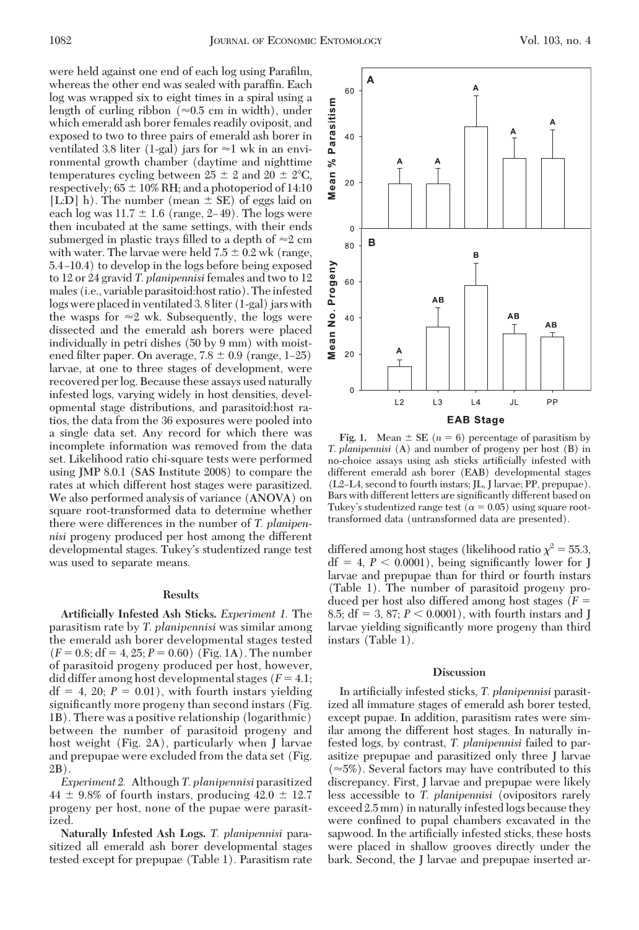were held against one end of each log using Parafilm, whereas the other end was sealed with paraffin. Each log was wrapped six to eight times in a spiral using a length of curling ribbon ( $\approx 0.5$  cm in width), under which emerald ash borer females readily oviposit, and exposed to two to three pairs of emerald ash borer in ventilated 3.8 liter (1-gal) jars for  $\approx$  1 wk in an environmental growth chamber (daytime and nighttime temperatures cycling between  $25 \pm 2$  and  $20 \pm 2^{\circ}C$ , respectively;  $65 \pm 10\%$  RH; and a photoperiod of 14:10 [L:D] h). The number (mean  $\pm$  SE) of eggs laid on each log was  $11.7 \pm 1.6$  (range, 2–49). The logs were then incubated at the same settings, with their ends submerged in plastic trays filled to a depth of  $\approx$ 2 cm with water. The larvae were held  $7.5 \pm 0.2$  wk (range, 5.4–10.4) to develop in the logs before being exposed to 12 or 24 gravid *T. planipennisi* females and two to 12 males (i.e., variable parasitoid:host ratio). The infested logs were placedin ventilated 3. 8liter (1-gal) jars with the wasps for  $\approx$ 2 wk. Subsequently, the logs were dissected and the emerald ash borers were placed individually in petri dishes (50 by 9 mm) with moistened filter paper. On average,  $7.8 \pm 0.9$  (range, 1–25) larvae, at one to three stages of development, were recovered per log. Because these assays used naturally infested logs, varying widely in host densities, developmental stage distributions, and parasitoid:host ratios, the data from the 36 exposures were pooled into a single data set. Any record for which there was incomplete information was removed from the data set. Likelihood ratio chi-square tests were performed using JMP 8.0.1 (SAS Institute 2008) to compare the rates at which different host stages were parasitized. We also performed analysis of variance (ANOVA) on square root-transformed data to determine whether there were differences in the number of *T. planipennisi* progeny produced per host among the different developmental stages. Tukey's studentized range test was used to separate means.

#### **Results**

**Artificially Infested Ash Sticks.** *Experiment 1.* The parasitism rate by *T. planipennisi* was similar among the emerald ash borer developmental stages tested  $(F = 0.8; df = 4, 25; P = 0.60)$  (Fig. 1A). The number of parasitoid progeny produced per host, however, did differ among host developmental stages  $(F = 4.1;$  $df = 4$ , 20;  $P = 0.01$ ), with fourth instars yielding significantly more progeny than second instars (Fig. 1B). There was a positive relationship (logarithmic) between the number of parasitoid progeny and host weight (Fig. 2A), particularly when J larvae and prepupae were excluded from the data set (Fig. 2B).

*Experiment 2.* Although *T. planipennisi* parasitized  $44 \pm 9.8\%$  of fourth instars, producing  $42.0 \pm 12.7$ progeny per host, none of the pupae were parasitized.

**Naturally Infested Ash Logs.** *T. planipennisi* parasitized all emerald ash borer developmental stages tested except for prepupae (Table 1). Parasitism rate

**Fig. 1.** Mean  $\pm$  SE ( $n = 6$ ) percentage of parasitism by Tukey's studentized range test ( $\alpha$  = 0.05) using square roottransformed data (untransformed data are presented).

differed among host stages (likelihood ratio  $\chi^2 = 55.3$ ,  $df = 4, P < 0.0001$ , being significantly lower for J larvae and prepupae than for third or fourth instars (Table 1). The number of parasitoid progeny produced per host also differed among host stages (*F* 8.5;  $df = 3$ , 87;  $P < 0.0001$ ), with fourth instars and J larvae yielding significantly more progeny than third instars (Table 1).

#### **Discussion**

In artificially infested sticks, *T. planipennisi* parasitized all immature stages of emerald ash borer tested, except pupae. In addition, parasitism rates were similar among the different host stages. In naturally infested logs, by contrast, *T. planipennisi* failed to parasitize prepupae and parasitized only three J larvae  $(\approx 5\%)$ . Several factors may have contributed to this discrepancy. First, J larvae and prepupae were likely less accessible to *T. planipennisi* (ovipositors rarely exceed 2.5 mm) in naturally infested logs because they were confined to pupal chambers excavated in the sapwood. In the artificially infested sticks, these hosts were placed in shallow grooves directly under the bark. Second, the J larvae and prepupae inserted ar-



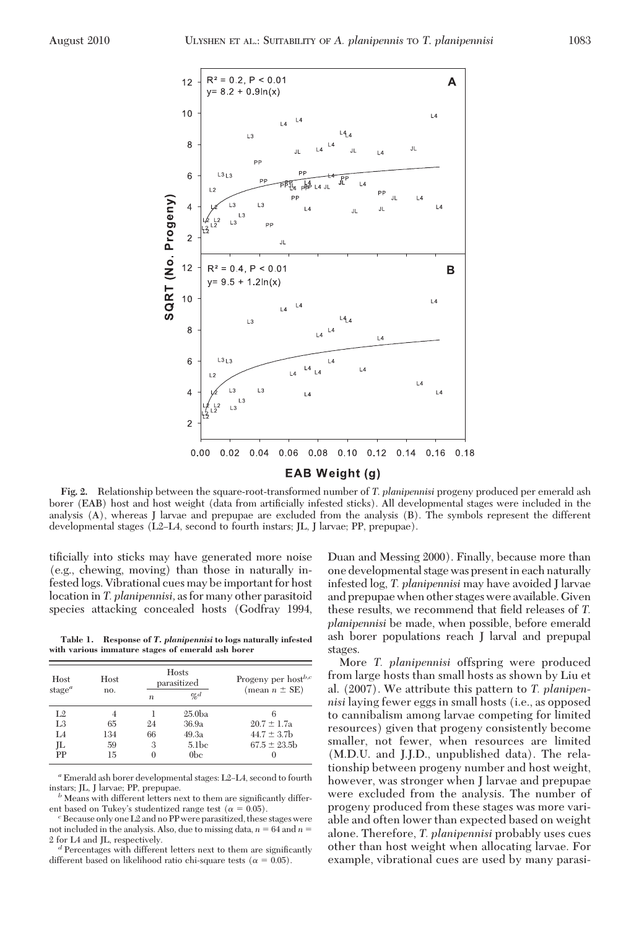

**Fig. 2.** Relationship between the square-root-transformed number of *T*. *planipennisi* progeny produced per emerald ash borer (EAB) host and host weight (data from artificially infested sticks). All developmental stages were included in the analysis (A), whereas J larvae and prepupae are excluded from the analysis (B). The symbols represent the different developmental stages (L2–L4, second to fourth instars; JL, J larvae; PP, prepupae).

tificially into sticks may have generated more noise (e.g., chewing, moving) than those in naturally infested logs. Vibrational cues may be important for host location in *T. planipennisi,* as for many other parasitoid species attacking concealed hosts (Godfray 1994,

**Table 1. Response of** *T. planipennisi* **to logs naturally infested with various immature stages of emerald ash borer**

| Host<br>stage <sup><math>a</math></sup> | Host<br>no. | Hosts<br>parasitized |                    | Progeny per host <sup>b,c</sup><br>(mean $n \pm SE$ ) |
|-----------------------------------------|-------------|----------------------|--------------------|-------------------------------------------------------|
|                                         |             | $\boldsymbol{n}$     | $\alpha_d$         |                                                       |
| L <sub>2</sub>                          | 4           |                      | 25.0 <sub>ba</sub> |                                                       |
| L3                                      | 65          | 24                   | 36.9a              | $20.7 \pm 1.7a$                                       |
| I <sub>4</sub>                          | 134         | 66                   | 49.3a              | $44.7 \pm 3.7$ b                                      |
| IL                                      | 59          | 3                    | 5.1 <sub>bc</sub>  | $67.5 \pm 23.5$                                       |
| PP                                      | 15          |                      | 0 <sub>bc</sub>    |                                                       |

<sup>*a*</sup> Emerald ash borer developmental stages: L2–L4, second to fourth instars; JL, J larvae; PP, prepupae.

 $\ensuremath{^b}$  Means with different letters next to them are significantly different based on Tukey's studentized range test ( $\alpha = 0.05$ ).

<sup>2</sup> Because only one L2 and no PP were parasitized, these stages were not included in the analysis. Also, due to missing data,  $n = 64$  and  $n =$ 2 for L4 and JL, respectively.<br><sup>*d*</sup> Percentages with different letters next to them are significantly

different based on likelihood ratio chi-square tests ( $\alpha = 0.05$ ).

Duan and Messing 2000). Finally, because more than one developmental stage was present in each naturally infested log, *T. planipennisi* may have avoided J larvae and prepupae when other stages were available. Given these results, we recommend that field releases of *T*. *planipennisi* be made, when possible, before emerald ash borer populations reach J larval and prepupal stages.

More *T. planipennisi* offspring were produced from large hosts than small hosts as shown by Liu et al. (2007). We attribute this pattern to *T. planipennisi* laying fewer eggs in small hosts (i.e., as opposed to cannibalism among larvae competing for limited resources) given that progeny consistently become smaller, not fewer, when resources are limited (M.D.U. and J.J.D., unpublished data). The relationship between progeny number and host weight, however, was stronger when J larvae and prepupae were excluded from the analysis. The number of progeny produced from these stages was more variable and often lower than expected based on weight alone. Therefore, *T. planipennisi* probably uses cues other than host weight when allocating larvae. For example, vibrational cues are used by many parasi-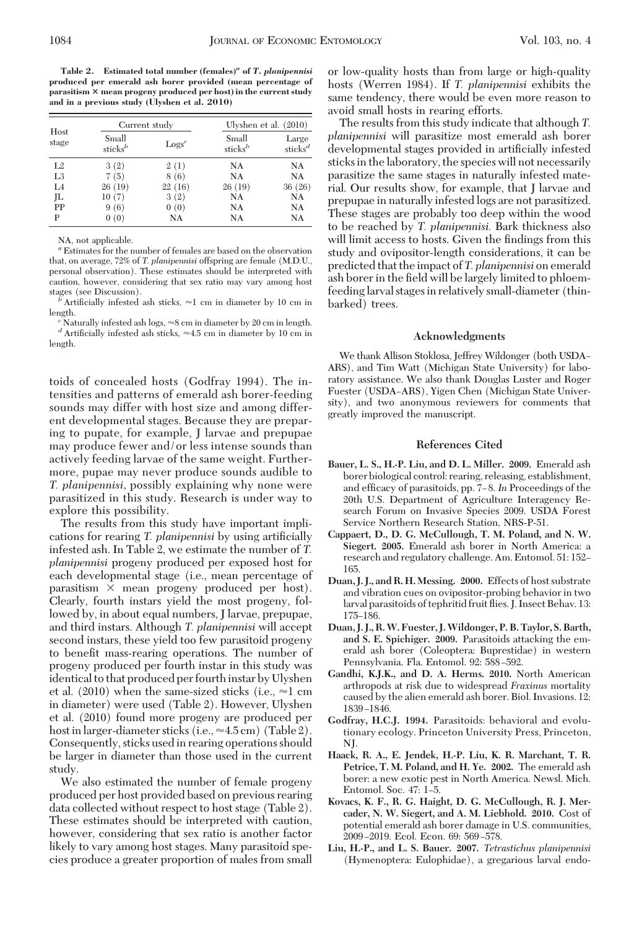**Table 2. Estimated total number (females)***<sup>a</sup>* **of** *T. planipennisi* **produced per emerald ash borer provided (mean percentage of parasitism mean progeny produced per host) in the current study and in a previous study (Ulyshen et al. 2010)**

| Host<br>stage  | Current study                |          | Ulyshen et al. $(2010)$      |                              |
|----------------|------------------------------|----------|------------------------------|------------------------------|
|                | Small<br>sticks <sup>b</sup> | $Logs^c$ | Small<br>sticks <sup>b</sup> | Large<br>sticks <sup>d</sup> |
| L <sub>2</sub> | 3(2)                         | 2(1)     | NA                           | NA                           |
| L <sub>3</sub> | 7(5)                         | 8(6)     | NA                           | NA                           |
| L4             | 26(19)                       | 22(16)   | 26(19)                       | 36(26)                       |
| JL             | 10(7)                        | 3(2)     | NA                           | NA                           |
| PP             | 9(6)                         | 0(0)     | NA                           | NA                           |
| P              | 0(0)                         | NA       | NA                           | NA                           |

NA, not applicable.

*<sup>a</sup>* Estimates for the number of females are based on the observation that, on average, 72% of *T. planipennisi* offspring are female (M.D.U., personal observation). These estimates should be interpreted with caution, however, considering that sex ratio may vary among host

stages (see Discussion).<br><sup>*b*</sup> Artificially infested ash sticks,  $\approx$ 1 cm in diameter by 10 cm in

length.<br><sup>*c*</sup> Naturally infested ash logs,  $\approx$ 8 cm in diameter by 20 cm in length. <sup>e</sup> Naturally infested ash logs, ≈8 cm in diameter by 20 cm in length.<br><sup>d</sup> Artificially infested ash sticks, ≈4.5 cm in diameter by 10 cm in length.

toids of concealed hosts (Godfray 1994). The intensities and patterns of emerald ash borer-feeding sounds may differ with host size and among different developmental stages. Because they are preparing to pupate, for example, J larvae and prepupae may produce fewer and/or less intense sounds than actively feeding larvae of the same weight. Furthermore, pupae may never produce sounds audible to *T. planipennisi,* possibly explaining why none were parasitized in this study. Research is under way to explore this possibility.

The results from this study have important implications for rearing *T. planipennisi* by using artificially infested ash. In Table 2, we estimate the number of *T. planipennisi* progeny produced per exposed host for each developmental stage (i.e., mean percentage of parasitism  $\times$  mean progeny produced per host). Clearly, fourth instars yield the most progeny, followed by, in about equal numbers, J larvae, prepupae, and third instars. Although *T. planipennisi* will accept second instars, these yield too few parasitoid progeny to benefit mass-rearing operations. The number of progeny produced per fourth instar in this study was identical to that produced per fourth instar by Ulyshen et al. (2010) when the same-sized sticks (i.e.,  $\approx$ 1 cm in diameter) were used (Table 2). However, Ulyshen et al. (2010) found more progeny are produced per host in larger-diameter sticks (i.e.,  $\approx$  4.5 cm) (Table 2). Consequently, sticks used in rearing operations should be larger in diameter than those used in the current study.

We also estimated the number of female progeny produced per host provided based on previous rearing data collected without respect to host stage (Table 2). These estimates should be interpreted with caution, however, considering that sex ratio is another factor likely to vary among host stages. Many parasitoid species produce a greater proportion of males from small

or low-quality hosts than from large or high-quality hosts (Werren 1984). If *T. planipennisi* exhibits the same tendency, there would be even more reason to avoid small hosts in rearing efforts.

The results from this study indicate that although *T. planipennisi* will parasitize most emerald ash borer developmental stages provided in artificially infested sticks in the laboratory, the species will not necessarily parasitize the same stages in naturally infested material. Our results show, for example, that J larvae and prepupae in naturally infested logs are not parasitized. These stages are probably too deep within the wood to be reached by *T. planipennisi.* Bark thickness also will limit access to hosts. Given the findings from this study and ovipositor-length considerations, it can be predicted that the impact of *T. planipennisi* on emerald ash borer in the field will be largely limited to phloemfeedinglarval stagesin relatively small-diameter (thinbarked) trees.

## **Acknowledgments**

We thank Allison Stoklosa, Jeffrey Wildonger (both USDA– ARS), and Tim Watt (Michigan State University) for laboratory assistance. We also thank Douglas Luster and Roger Fuester (USDA-ARS), Yigen Chen (Michigan State University), and two anonymous reviewers for comments that greatly improved the manuscript.

#### **References Cited**

- **Bauer, L. S., H.-P. Liu, and D. L. Miller. 2009.** Emerald ash borer biological control: rearing, releasing, establishment, and efficacy of parasitoids, pp. 7-8. In Proceedings of the 20th U.S. Department of Agriculture Interagency Research Forum on Invasive Species 2009. USDA Forest Service Northern Research Station, NRS-P-51.
- **Cappaert, D., D. G. McCullough, T. M. Poland, and N. W. Siegert. 2005.** Emerald ash borer in North America: a research and regulatory challenge. Am. Entomol. 51: 152– 165.
- **Duan, J. J., and R. H. Messing. 2000.** Effects of host substrate and vibration cues on ovipositor-probing behavior in two larval parasitoids of tephritid fruit ßies. J. Insect Behav. 13: 175–186.
- **Duan, J. J., R.W. Fuester, J.Wildonger, P. B. Taylor, S. Barth, and S. E. Spichiger. 2009.** Parasitoids attacking the emerald ash borer (Coleoptera: Buprestidae) in western Pennsylvania. Fla. Entomol. 92: 588–592.
- **Gandhi, K.J.K., and D. A. Herms. 2010.** North American arthropods at risk due to widespread *Fraxinus* mortality caused by the alien emerald ash borer. Biol. Invasions. 12: 1839-1846.
- **Godfray, H.C.J. 1994.** Parasitoids: behavioral and evolutionary ecology. Princeton University Press, Princeton, NJ.
- **Haack, R. A., E. Jendek, H.-P. Liu, K. R. Marchant, T. R. Petrice, T. M. Poland, and H. Ye. 2002.** The emerald ash borer: a new exotic pest in North America. Newsl. Mich. Entomol. Soc. 47: 1-5.
- **Kovacs, K. F., R. G. Haight, D. G. McCullough, R. J. Mercader, N. W. Siegert, and A. M. Liebhold. 2010.** Cost of potential emerald ash borer damage in U.S. communities, 2009-2019. Ecol. Econ. 69: 569-578.
- **Liu, H.-P., and L. S. Bauer. 2007.** *Tetrastichus planipennisi* (Hymenoptera: Eulophidae), a gregarious larval endo-